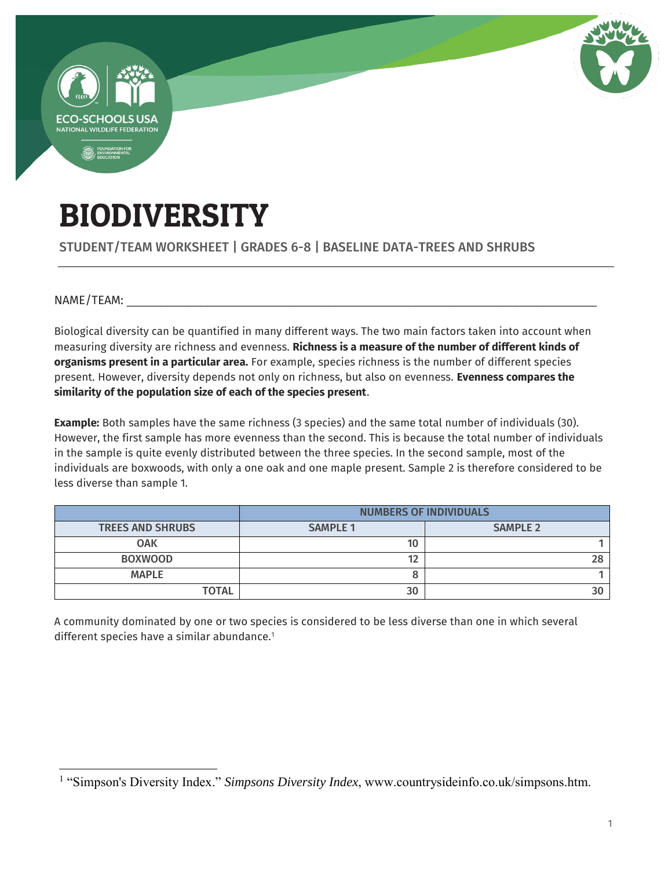

# BIODIVERSITY

STUDENT/TEAM WORKSHEET | GRADES 6-8 | BASELINE DATA-TREES AND SHRUBS

NAME/TEAM:

Biological diversity can be quantified in many different ways. The two main factors taken into account when measuring diversity are richness and evenness. **Richness is a measure of the number of different kinds of organisms present in a particular area.** For example, species richness is the number of different species present. However, diversity depends not only on richness, but also on evenness. **Evenness compares the similarity of the population size of each of the species present**.

**Example:** Both samples have the same richness (3 species) and the same total number of individuals (30). However, the first sample has more evenness than the second. This is because the total number of individuals in the sample is quite evenly distributed between the three species. In the second sample, most of the individuals are boxwoods, with only a one oak and one maple present. Sample 2 is therefore considered to be less diverse than sample 1.

|                         | <b>NUMBERS OF INDIVIDUALS</b> |                 |  |  |
|-------------------------|-------------------------------|-----------------|--|--|
| <b>TREES AND SHRUBS</b> | <b>SAMPLE 1</b>               | <b>SAMPLE 2</b> |  |  |
| <b>OAK</b>              | 10                            |                 |  |  |
| <b>BOXWOOD</b>          | 40                            |                 |  |  |
| <b>MAPLE</b>            |                               |                 |  |  |
| <b>TOTAL</b>            | 30                            |                 |  |  |

A community dominated by one or two species is considered to be less diverse than one in which several different species have a similar abundance.<sup>1</sup>

 $\overline{a}$ <sup>1</sup> "Simpson's Diversity Index." *Simpsons Diversity Index*, www.countrysideinfo.co.uk/simpsons.htm.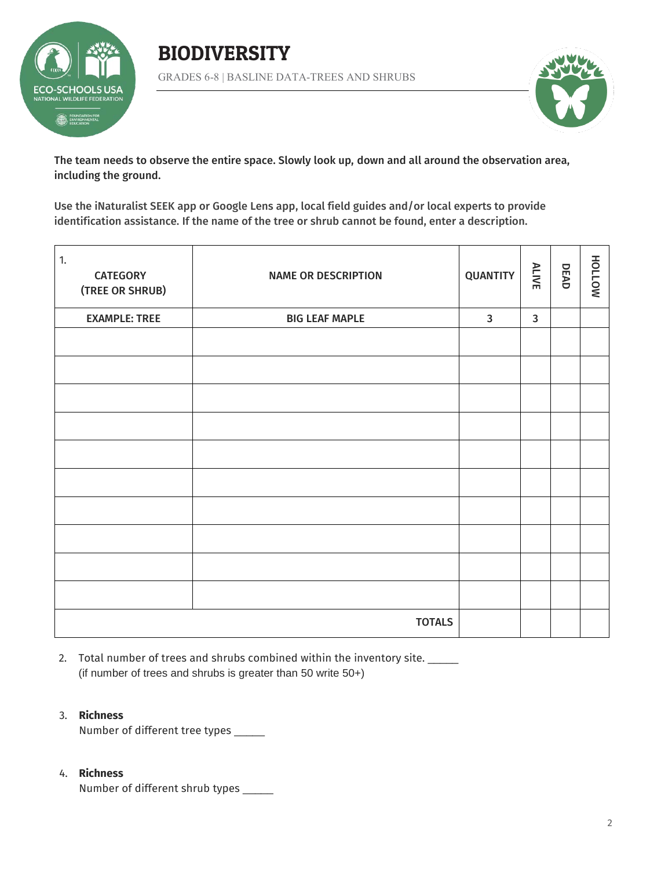

BIODIVERSITY GRADES 6-8 | BASLINE DATA-TREES AND SHRUBS



The team needs to observe the entire space. Slowly look up, down and all around the observation area, including the ground.

Use the iNaturalist SEEK app or Google Lens app, local field guides and/or local experts to provide identification assistance. If the name of the tree or shrub cannot be found, enter a description.

| $\overline{1}$ .<br><b>CATEGORY</b><br>(TREE OR SHRUB) | <b>NAME OR DESCRIPTION</b> | <b>QUANTITY</b> | <b>ALIVE</b> | DEAD | NOTTOH |
|--------------------------------------------------------|----------------------------|-----------------|--------------|------|--------|
| <b>EXAMPLE: TREE</b>                                   | <b>BIG LEAF MAPLE</b>      | $\mathbf{3}$    | $\mathbf{3}$ |      |        |
|                                                        |                            |                 |              |      |        |
|                                                        |                            |                 |              |      |        |
|                                                        |                            |                 |              |      |        |
|                                                        |                            |                 |              |      |        |
|                                                        |                            |                 |              |      |        |
|                                                        |                            |                 |              |      |        |
|                                                        |                            |                 |              |      |        |
|                                                        |                            |                 |              |      |        |
|                                                        |                            |                 |              |      |        |
|                                                        |                            |                 |              |      |        |
|                                                        | <b>TOTALS</b>              |                 |              |      |        |

2. Total number of trees and shrubs combined within the inventory site. (if number of trees and shrubs is greater than 50 write 50+)

### 3. **Richness**

Number of different tree types \_\_\_\_\_

### 4. **Richness**

Number of different shrub types \_\_\_\_\_\_